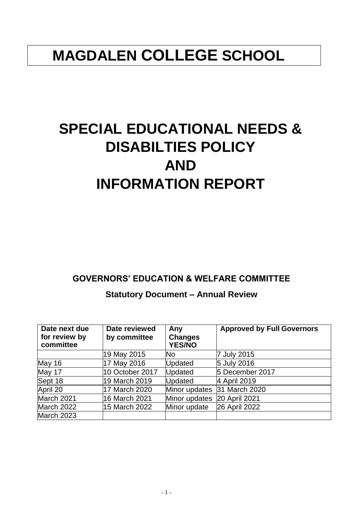## **MAGDALEN COLLEGE SCHOOL**

# **SPECIAL EDUCATIONAL NEEDS & DISABILTIES POLICY AND INFORMATION REPORT**

## **GOVERNORS' EDUCATION & WELFARE COMMITTEE**

## **Statutory Document – Annual Review**

| Date next due<br>for review by<br>committee | Date reviewed<br>by committee | Any<br><b>Changes</b><br><b>YES/NO</b> | <b>Approved by Full Governors</b> |
|---------------------------------------------|-------------------------------|----------------------------------------|-----------------------------------|
|                                             | 19 May 2015                   | No                                     | 7 July 2015                       |
| May 16                                      | 17 May 2016                   | <b>Updated</b>                         | 5 July 2016                       |
| May 17                                      | 10 October 2017               | Updated                                | 5 December 2017                   |
| Sept 18                                     | 19 March 2019                 | <b>Updated</b>                         | 4 April 2019                      |
| April 20                                    | 17 March 2020                 | Minor updates                          | 31 March 2020                     |
| March 2021                                  | 16 March 2021                 | Minor updates                          | 20 April 2021                     |
| March 2022                                  | 15 March 2022                 | Minor update                           | 26 April 2022                     |
| March 2023                                  |                               |                                        |                                   |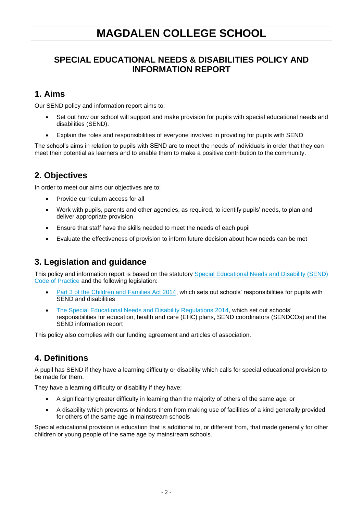## **MAGDALEN COLLEGE SCHOOL**

## **SPECIAL EDUCATIONAL NEEDS & DISABILITIES POLICY AND INFORMATION REPORT**

## **1. Aims**

Our SEND policy and information report aims to:

- Set out how our school will support and make provision for pupils with special educational needs and disabilities (SEND).
- Explain the roles and responsibilities of everyone involved in providing for pupils with SEND

The school's aims in relation to pupils with SEND are to meet the needs of individuals in order that they can meet their potential as learners and to enable them to make a positive contribution to the community.

## **2. Objectives**

In order to meet our aims our objectives are to:

- Provide curriculum access for all
- Work with pupils, parents and other agencies, as required, to identify pupils' needs, to plan and deliver appropriate provision
- Ensure that staff have the skills needed to meet the needs of each pupil
- Evaluate the effectiveness of provision to inform future decision about how needs can be met

## **3. Legislation and guidance**

This policy and information report is based on the statutory [Special Educational Needs and Disability \(SEND\)](https://www.gov.uk/government/uploads/system/uploads/attachment_data/file/398815/SEND_Code_of_Practice_January_2015.pdf)  [Code of Practice](https://www.gov.uk/government/uploads/system/uploads/attachment_data/file/398815/SEND_Code_of_Practice_January_2015.pdf) and the following legislation:

- [Part 3 of the Children and Families Act 2014,](http://www.legislation.gov.uk/ukpga/2014/6/part/3) which sets out schools' responsibilities for pupils with SEND and disabilities
- [The Special Educational Needs and Disability Regulations 2014,](http://www.legislation.gov.uk/uksi/2014/1530/contents/made) which set out schools' responsibilities for education, health and care (EHC) plans, SEND coordinators (SENDCOs) and the SEND information report

This policy also complies with our funding agreement and articles of association.

## **4. Definitions**

A pupil has SEND if they have a learning difficulty or disability which calls for special educational provision to be made for them.

They have a learning difficulty or disability if they have:

- A significantly greater difficulty in learning than the majority of others of the same age, or
- A disability which prevents or hinders them from making use of facilities of a kind generally provided for others of the same age in mainstream schools

Special educational provision is education that is additional to, or different from, that made generally for other children or young people of the same age by mainstream schools.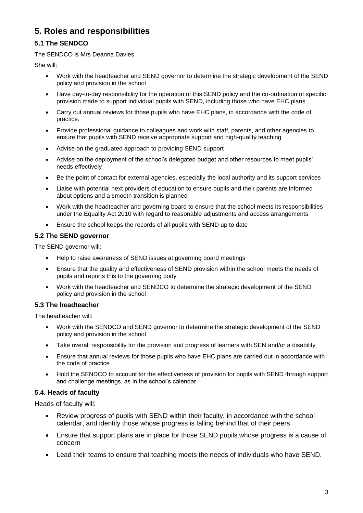## **5. Roles and responsibilities**

#### **5.1 The SENDCO**

#### The SENDCO is Mrs Deanna Davies

She will:

- Work with the headteacher and SEND governor to determine the strategic development of the SEND policy and provision in the school
- Have day-to-day responsibility for the operation of this SEND policy and the co-ordination of specific provision made to support individual pupils with SEND, including those who have EHC plans
- Carry out annual reviews for those pupils who have EHC plans, in accordance with the code of practice.
- Provide professional guidance to colleagues and work with staff, parents, and other agencies to ensure that pupils with SEND receive appropriate support and high-quality teaching
- Advise on the graduated approach to providing SEND support
- Advise on the deployment of the school's delegated budget and other resources to meet pupils' needs effectively
- Be the point of contact for external agencies, especially the local authority and its support services
- Liaise with potential next providers of education to ensure pupils and their parents are informed about options and a smooth transition is planned
- Work with the headteacher and governing board to ensure that the school meets its responsibilities under the Equality Act 2010 with regard to reasonable adjustments and access arrangements
- Ensure the school keeps the records of all pupils with SEND up to date

#### **5.2 The SEND governor**

The SEND governor will:

- Help to raise awareness of SEND issues at governing board meetings
- Ensure that the quality and effectiveness of SEND provision within the school meets the needs of pupils and reports this to the governing body
- Work with the headteacher and SENDCO to determine the strategic development of the SEND policy and provision in the school

#### **5.3 The headteacher**

The headteacher will:

- Work with the SENDCO and SEND governor to determine the strategic development of the SEND policy and provision in the school
- Take overall responsibility for the provision and progress of learners with SEN and/or a disability
- Ensure that annual reviews for those pupils who have EHC plans are carried out in accordance with the code of practice
- Hold the SENDCO to account for the effectiveness of provision for pupils with SEND through support and challenge meetings, as in the school's calendar

#### **5.4. Heads of faculty**

Heads of faculty will:

- Review progress of pupils with SEND within their faculty, in accordance with the school calendar, and identify those whose progress is falling behind that of their peers
- Ensure that support plans are in place for those SEND pupils whose progress is a cause of concern
- Lead their teams to ensure that teaching meets the needs of individuals who have SEND.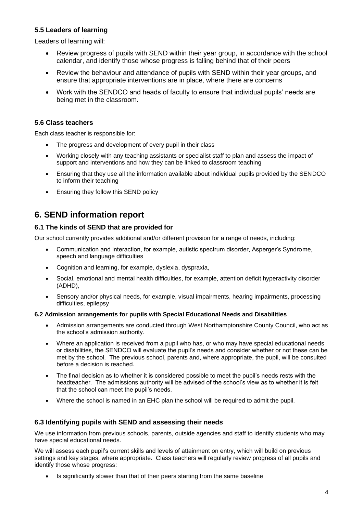#### **5.5 Leaders of learning**

Leaders of learning will:

- Review progress of pupils with SEND within their year group, in accordance with the school calendar, and identify those whose progress is falling behind that of their peers
- Review the behaviour and attendance of pupils with SEND within their year groups, and ensure that appropriate interventions are in place, where there are concerns
- Work with the SENDCO and heads of faculty to ensure that individual pupils' needs are being met in the classroom.

#### **5.6 Class teachers**

Each class teacher is responsible for:

- The progress and development of every pupil in their class
- Working closely with any teaching assistants or specialist staff to plan and assess the impact of support and interventions and how they can be linked to classroom teaching
- Ensuring that they use all the information available about individual pupils provided by the SENDCO to inform their teaching
- Ensuring they follow this SEND policy

### **6. SEND information report**

#### **6.1 The kinds of SEND that are provided for**

Our school currently provides additional and/or different provision for a range of needs, including:

- Communication and interaction, for example, autistic spectrum disorder, Asperger's Syndrome, speech and language difficulties
- Cognition and learning, for example, dyslexia, dyspraxia,
- Social, emotional and mental health difficulties, for example, attention deficit hyperactivity disorder (ADHD),
- Sensory and/or physical needs, for example, visual impairments, hearing impairments, processing difficulties, epilepsy

#### **6.2 Admission arrangements for pupils with Special Educational Needs and Disabilities**

- Admission arrangements are conducted through West Northamptonshire County Council, who act as the school's admission authority.
- Where an application is received from a pupil who has, or who may have special educational needs or disabilities, the SENDCO will evaluate the pupil's needs and consider whether or not these can be met by the school. The previous school, parents and, where appropriate, the pupil, will be consulted before a decision is reached.
- The final decision as to whether it is considered possible to meet the pupil's needs rests with the headteacher. The admissions authority will be advised of the school's view as to whether it is felt that the school can meet the pupil's needs.
- Where the school is named in an EHC plan the school will be required to admit the pupil.

#### **6.3 Identifying pupils with SEND and assessing their needs**

We use information from previous schools, parents, outside agencies and staff to identify students who may have special educational needs.

We will assess each pupil's current skills and levels of attainment on entry, which will build on previous settings and key stages, where appropriate. Class teachers will regularly review progress of all pupils and identify those whose progress:

Is significantly slower than that of their peers starting from the same baseline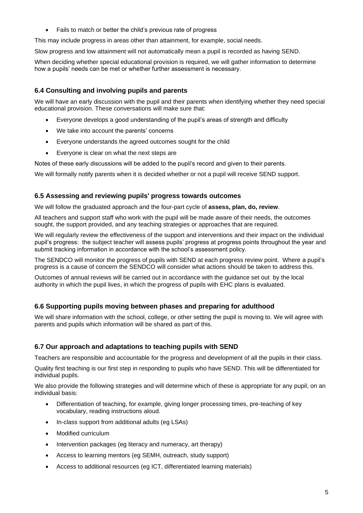• Fails to match or better the child's previous rate of progress

This may include progress in areas other than attainment, for example, social needs.

Slow progress and low attainment will not automatically mean a pupil is recorded as having SEND.

When deciding whether special educational provision is required, we will gather information to determine how a pupils' needs can be met or whether further assessment is necessary.

#### **6.4 Consulting and involving pupils and parents**

We will have an early discussion with the pupil and their parents when identifying whether they need special educational provision. These conversations will make sure that:

- Everyone develops a good understanding of the pupil's areas of strength and difficulty
- We take into account the parents' concerns
- Everyone understands the agreed outcomes sought for the child
- Everyone is clear on what the next steps are

Notes of these early discussions will be added to the pupil's record and given to their parents.

We will formally notify parents when it is decided whether or not a pupil will receive SEND support.

#### **6.5 Assessing and reviewing pupils' progress towards outcomes**

We will follow the graduated approach and the four-part cycle of **assess, plan, do, review**.

All teachers and support staff who work with the pupil will be made aware of their needs, the outcomes sought, the support provided, and any teaching strategies or approaches that are required.

We will regularly review the effectiveness of the support and interventions and their impact on the individual pupil's progress: the subject teacher will assess pupils' progress at progress points throughout the year and submit tracking information in accordance with the school's assessment policy.

The SENDCO will monitor the progress of pupils with SEND at each progress review point. Where a pupil's progress is a cause of concern the SENDCO will consider what actions should be taken to address this.

Outcomes of annual reviews will be carried out in accordance with the guidance set out by the local authority in which the pupil lives, in which the progress of pupils with EHC plans is evaluated.

#### **6.6 Supporting pupils moving between phases and preparing for adulthood**

We will share information with the school, college, or other setting the pupil is moving to. We will agree with parents and pupils which information will be shared as part of this.

#### **6.7 Our approach and adaptations to teaching pupils with SEND**

Teachers are responsible and accountable for the progress and development of all the pupils in their class.

Quality first teaching is our first step in responding to pupils who have SEND. This will be differentiated for individual pupils.

We also provide the following strategies and will determine which of these is appropriate for any pupil, on an individual basis:

- Differentiation of teaching, for example, giving longer processing times, pre-teaching of key vocabulary, reading instructions aloud.
- In-class support from additional adults (eg LSAs)
- Modified curriculum
- Intervention packages (eg literacy and numeracy, art therapy)
- Access to learning mentors (eg SEMH, outreach, study support)
- Access to additional resources (eg ICT, differentiated learning materials)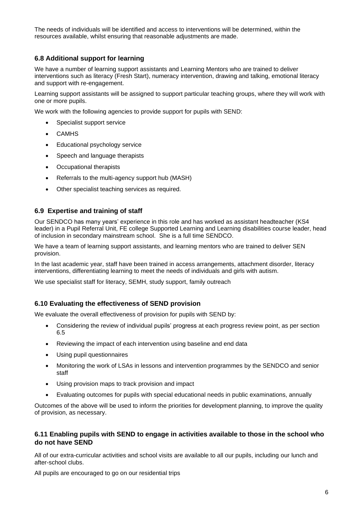The needs of individuals will be identified and access to interventions will be determined, within the resources available, whilst ensuring that reasonable adjustments are made.

#### **6.8 Additional support for learning**

We have a number of learning support assistants and Learning Mentors who are trained to deliver interventions such as literacy (Fresh Start), numeracy intervention, drawing and talking, emotional literacy and support with re-engagement.

Learning support assistants will be assigned to support particular teaching groups, where they will work with one or more pupils.

We work with the following agencies to provide support for pupils with SEND:

- Specialist support service
- CAMHS
- Educational psychology service
- Speech and language therapists
- Occupational therapists
- Referrals to the multi-agency support hub (MASH)
- Other specialist teaching services as required.

#### **6.9 Expertise and training of staff**

Our SENDCO has many years' experience in this role and has worked as assistant headteacher (KS4 leader) in a Pupil Referral Unit, FE college Supported Learning and Learning disabilities course leader, head of inclusion in secondary mainstream school. She is a full time SENDCO.

We have a team of learning support assistants, and learning mentors who are trained to deliver SEN provision.

In the last academic year, staff have been trained in access arrangements, attachment disorder, literacy interventions, differentiating learning to meet the needs of individuals and girls with autism.

We use specialist staff for literacy, SEMH, study support, family outreach

#### **6.10 Evaluating the effectiveness of SEND provision**

We evaluate the overall effectiveness of provision for pupils with SEND by:

- Considering the review of individual pupils' progress at each progress review point, as per section 6.5
- Reviewing the impact of each intervention using baseline and end data
- Using pupil questionnaires
- Monitoring the work of LSAs in lessons and intervention programmes by the SENDCO and senior staff
- Using provision maps to track provision and impact
- Evaluating outcomes for pupils with special educational needs in public examinations, annually

Outcomes of the above will be used to inform the priorities for development planning, to improve the quality of provision, as necessary.

#### **6.11 Enabling pupils with SEND to engage in activities available to those in the school who do not have SEND**

All of our extra-curricular activities and school visits are available to all our pupils, including our lunch and after-school clubs.

All pupils are encouraged to go on our residential trips